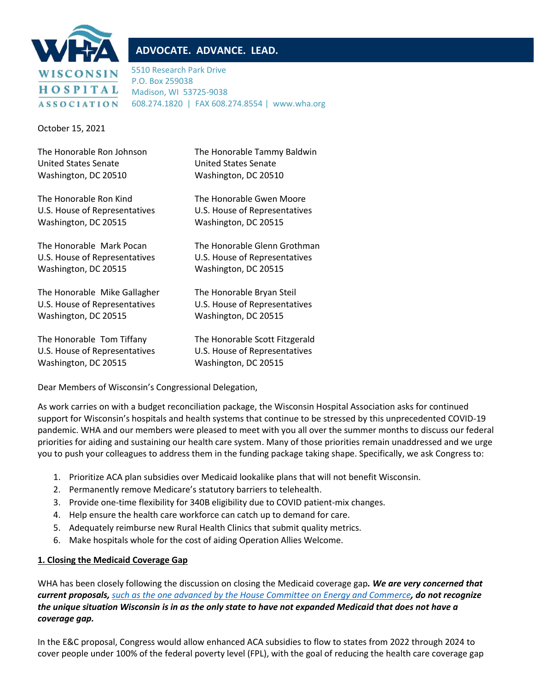

# **ADVOCATE. ADVANCE. LEAD.**

5510 Research Park Drive P.O. Box 259038 Madison, WI 53725-9038 608.274.1820 | FAX 608.274.8554 | www.wha.org

October 15, 2021

| The Honorable Ron Johnson     | The Honorable Tammy Baldwin    |
|-------------------------------|--------------------------------|
| United States Senate          | United States Senate           |
| Washington, DC 20510          | Washington, DC 20510           |
| The Honorable Ron Kind        | The Honorable Gwen Moore       |
| U.S. House of Representatives | U.S. House of Representatives  |
| Washington, DC 20515          | Washington, DC 20515           |
| The Honorable Mark Pocan      | The Honorable Glenn Grothman   |
| U.S. House of Representatives | U.S. House of Representatives  |
| Washington, DC 20515          | Washington, DC 20515           |
| The Honorable Mike Gallagher  | The Honorable Bryan Steil      |
| U.S. House of Representatives | U.S. House of Representatives  |
| Washington, DC 20515          | Washington, DC 20515           |
| The Honorable Tom Tiffany     | The Honorable Scott Fitzgerald |
| U.S. House of Representatives | U.S. House of Representatives  |
| Washington, DC 20515          | Washington, DC 20515           |

Dear Members of Wisconsin's Congressional Delegation,

As work carries on with a budget reconciliation package, the Wisconsin Hospital Association asks for continued support for Wisconsin's hospitals and health systems that continue to be stressed by this unprecedented COVID-19 pandemic. WHA and our members were pleased to meet with you all over the summer months to discuss our federal priorities for aiding and sustaining our health care system. Many of those priorities remain unaddressed and we urge you to push your colleagues to address them in the funding package taking shape. Specifically, we ask Congress to:

- 1. Prioritize ACA plan subsidies over Medicaid lookalike plans that will not benefit Wisconsin.
- 2. Permanently remove Medicare's statutory barriers to telehealth.
- 3. Provide one-time flexibility for 340B eligibility due to COVID patient-mix changes.
- 4. Help ensure the health care workforce can catch up to demand for care.
- 5. Adequately reimburse new Rural Health Clinics that submit quality metrics.
- 6. Make hospitals whole for the cost of aiding Operation Allies Welcome.

## **1. Closing the Medicaid Coverage Gap**

WHA has been closely following the discussion on closing the Medicaid coverage gap*. We are very concerned that current proposals, [such as the one advanced by the House Committee on Energy and Commerce](https://energycommerce.house.gov/sites/democrats.energycommerce.house.gov/files/documents/Subtitle%20G_Medicaid.pdf), do not recognize the unique situation Wisconsin is in as the only state to have not expanded Medicaid that does not have a coverage gap.*

In the E&C proposal, Congress would allow enhanced ACA subsidies to flow to states from 2022 through 2024 to cover people under 100% of the federal poverty level (FPL), with the goal of reducing the health care coverage gap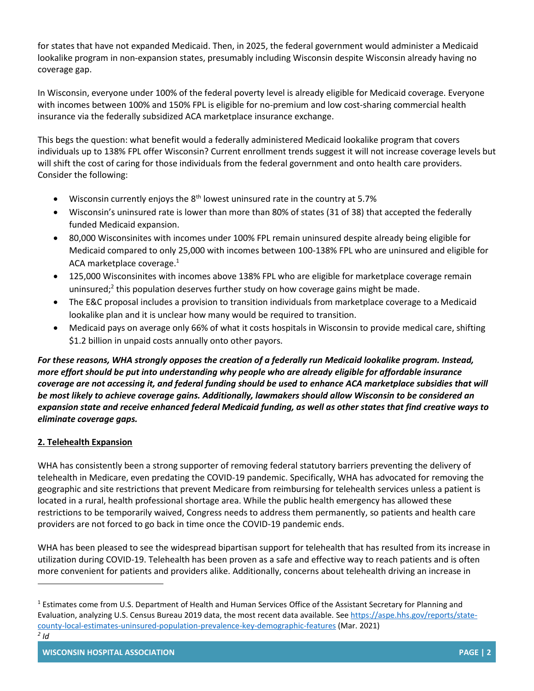for states that have not expanded Medicaid. Then, in 2025, the federal government would administer a Medicaid lookalike program in non-expansion states, presumably including Wisconsin despite Wisconsin already having no coverage gap.

In Wisconsin, everyone under 100% of the federal poverty level is already eligible for Medicaid coverage. Everyone with incomes between 100% and 150% FPL is eligible for no-premium and low cost-sharing commercial health insurance via the federally subsidized ACA marketplace insurance exchange.

This begs the question: what benefit would a federally administered Medicaid lookalike program that covers individuals up to 138% FPL offer Wisconsin? Current enrollment trends suggest it will not increase coverage levels but will shift the cost of caring for those individuals from the federal government and onto health care providers. Consider the following:

- Wisconsin currently enjoys the  $8<sup>th</sup>$  lowest uninsured rate in the country at 5.7%
- Wisconsin's uninsured rate is lower than more than 80% of states (31 of 38) that accepted the federally funded Medicaid expansion.
- 80,000 Wisconsinites with incomes under 100% FPL remain uninsured despite already being eligible for Medicaid compared to only 25,000 with incomes between 100-138% FPL who are uninsured and eligible for ACA marketplace coverage. 1
- 125,000 Wisconsinites with incomes above 138% FPL who are eligible for marketplace coverage remain uninsured;<sup>2</sup> this population deserves further study on how coverage gains might be made.
- The E&C proposal includes a provision to transition individuals from marketplace coverage to a Medicaid lookalike plan and it is unclear how many would be required to transition.
- Medicaid pays on average only 66% of what it costs hospitals in Wisconsin to provide medical care, shifting \$1.2 billion in unpaid costs annually onto other payors.

*For these reasons, WHA strongly opposes the creation of a federally run Medicaid lookalike program. Instead, more effort should be put into understanding why people who are already eligible for affordable insurance coverage are not accessing it, and federal funding should be used to enhance ACA marketplace subsidies that will be most likely to achieve coverage gains. Additionally, lawmakers should allow Wisconsin to be considered an expansion state and receive enhanced federal Medicaid funding, as well as other states that find creative ways to eliminate coverage gaps.*

## **2. Telehealth Expansion**

WHA has consistently been a strong supporter of removing federal statutory barriers preventing the delivery of telehealth in Medicare, even predating the COVID-19 pandemic. Specifically, WHA has advocated for removing the geographic and site restrictions that prevent Medicare from reimbursing for telehealth services unless a patient is located in a rural, health professional shortage area. While the public health emergency has allowed these restrictions to be temporarily waived, Congress needs to address them permanently, so patients and health care providers are not forced to go back in time once the COVID-19 pandemic ends.

WHA has been pleased to see the widespread bipartisan support for telehealth that has resulted from its increase in utilization during COVID-19. Telehealth has been proven as a safe and effective way to reach patients and is often more convenient for patients and providers alike. Additionally, concerns about telehealth driving an increase in

<sup>&</sup>lt;sup>1</sup> Estimates come from U.S. Department of Health and Human Services Office of the Assistant Secretary for Planning and Evaluation, analyzing U.S. Census Bureau 2019 data, the most recent data available. See [https://aspe.hhs.gov/reports/state](https://aspe.hhs.gov/reports/state-county-local-estimates-uninsured-population-prevalence-key-demographic-features)[county-local-estimates-uninsured-population-prevalence-key-demographic-features](https://aspe.hhs.gov/reports/state-county-local-estimates-uninsured-population-prevalence-key-demographic-features) (Mar. 2021)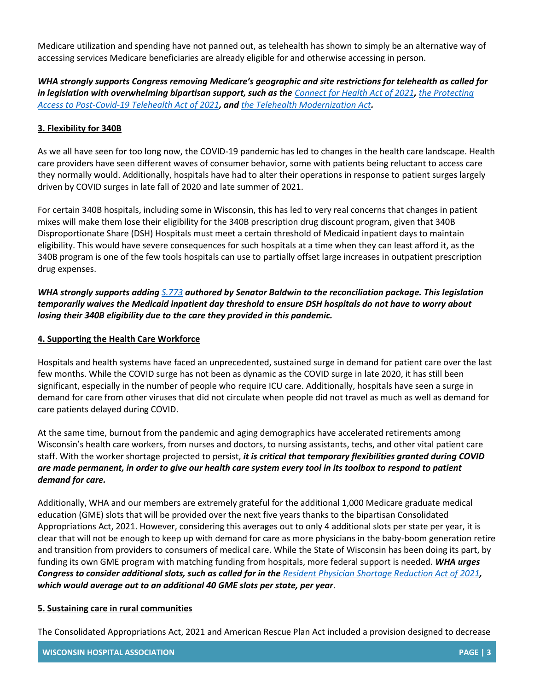Medicare utilization and spending have not panned out, as telehealth has shown to simply be an alternative way of accessing services Medicare beneficiaries are already eligible for and otherwise accessing in person.

*WHA strongly supports Congress removing Medicare's geographic and site restrictions for telehealth as called for in legislation with overwhelming bipartisan support, such as the [Connect for Health Act of 2021](https://www.congress.gov/bill/117th-congress/senate-bill/1512/cosponsors?q=%7B%22search%22%3A%5B%22s+1512%22%2C%22s%22%2C%221512%22%5D%7D&s=1&r=8&overview=closed#tabs), [the Protecting](https://www.congress.gov/bill/117th-congress/house-bill/366/cosponsors?q=%7B%22search%22%3A%5B%22hr+366%22%2C%22hr%22%2C%22366%22%5D%7D&s=2&r=1&overview=closed#tabs)  [Access to Post-Covid-19 Telehealth Act of 2021](https://www.congress.gov/bill/117th-congress/house-bill/366/cosponsors?q=%7B%22search%22%3A%5B%22hr+366%22%2C%22hr%22%2C%22366%22%5D%7D&s=2&r=1&overview=closed#tabs), and [the Telehealth Modernization Act](https://www.congress.gov/bill/117th-congress/house-bill/1332/cosponsors?q=%7B%22search%22%3A%5B%22hr+1332%22%2C%22hr%22%2C%221332%22%5D%7D&s=3&r=1&overview=closed#tabs).*

#### **3. Flexibility for 340B**

As we all have seen for too long now, the COVID-19 pandemic has led to changes in the health care landscape. Health care providers have seen different waves of consumer behavior, some with patients being reluctant to access care they normally would. Additionally, hospitals have had to alter their operations in response to patient surges largely driven by COVID surges in late fall of 2020 and late summer of 2021.

For certain 340B hospitals, including some in Wisconsin, this has led to very real concerns that changes in patient mixes will make them lose their eligibility for the 340B prescription drug discount program, given that 340B Disproportionate Share (DSH) Hospitals must meet a certain threshold of Medicaid inpatient days to maintain eligibility. This would have severe consequences for such hospitals at a time when they can least afford it, as the 340B program is one of the few tools hospitals can use to partially offset large increases in outpatient prescription drug expenses.

## *WHA strongly supports adding [S.773](https://www.congress.gov/bill/117th-congress/senate-bill/773/cosponsors?q=%7B%22search%22%3A%5B%22s+773%22%2C%22s%22%2C%22773%22%5D%7D&r=3&s=1) authored by Senator Baldwin to the reconciliation package. This legislation temporarily waives the Medicaid inpatient day threshold to ensure DSH hospitals do not have to worry about losing their 340B eligibility due to the care they provided in this pandemic.*

#### **4. Supporting the Health Care Workforce**

Hospitals and health systems have faced an unprecedented, sustained surge in demand for patient care over the last few months. While the COVID surge has not been as dynamic as the COVID surge in late 2020, it has still been significant, especially in the number of people who require ICU care. Additionally, hospitals have seen a surge in demand for care from other viruses that did not circulate when people did not travel as much as well as demand for care patients delayed during COVID.

At the same time, burnout from the pandemic and aging demographics have accelerated retirements among Wisconsin's health care workers, from nurses and doctors, to nursing assistants, techs, and other vital patient care staff. With the worker shortage projected to persist, *it is critical that temporary flexibilities granted during COVID are made permanent, in order to give our health care system every tool in its toolbox to respond to patient demand for care.*

Additionally, WHA and our members are extremely grateful for the additional 1,000 Medicare graduate medical education (GME) slots that will be provided over the next five years thanks to the bipartisan Consolidated Appropriations Act, 2021. However, considering this averages out to only 4 additional slots per state per year, it is clear that will not be enough to keep up with demand for care as more physicians in the baby-boom generation retire and transition from providers to consumers of medical care. While the State of Wisconsin has been doing its part, by funding its own GME program with matching funding from hospitals, more federal support is needed. *WHA urges Congress to consider additional slots, such as called for in the [Resident Physician Shortage Reduction Act of 2021](https://www.congress.gov/bill/117th-congress/senate-bill/834?q=%7B%22search%22%3A%5B%22s.+834%22%2C%22s.%22%2C%22834%22%5D%7D&s=1&r=2), which would average out to an additional 40 GME slots per state, per year*.

#### **5. Sustaining care in rural communities**

The Consolidated Appropriations Act, 2021 and American Rescue Plan Act included a provision designed to decrease